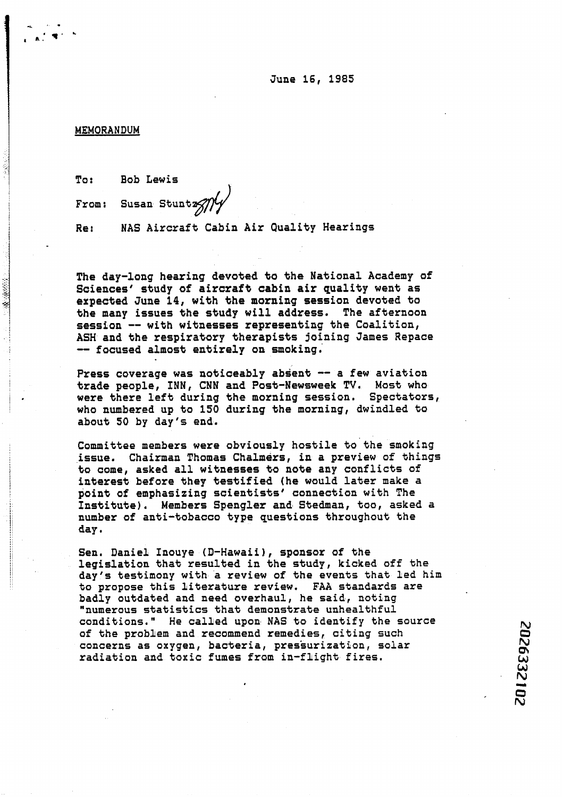## **MEMORANDUM**

< **9.**  , **A,' V'** 

J

2012年10月

**To: Bob Lewis** 

From: Susan Stuntz<sub>7/14</sub>

**Re: NAS Aircraft Cabin Air Quality Hearings** 

**The day-long hearing devoted to the National Academy of**  Sciences' study of aircraft cabin air quality went as **expected June 14, with the morning session devoted to**  the many issues the study will address. The afternoon **session** -- **with witnesses representing the Coalition, ASH and the respiratory therapists joining James Repace**  -- **focused almost entirely on smoking.** 

Press coverage was noticeably absent -- a few aviation **trade people, INN, CNN and Post-Newsweek TV. Most who were there left during the morning session. Spectators, who numbered up to 150 during the morning, dwindled to about SO by day's end.** 

**Committee members were obviously hostile to the smoking issue. Chairman Thomas Chalmers, in a preview of things**  to come, asked all witnesses to note any conflicts of **in%erest before they testified (he would later make a point of emphasizing scientists' connection with The Institute), Members Spengler and Stedman, too, asked a**  number of anti-tobacco type questions throughout the **day.** 

**Sen. Daniel Inouye (D-Hawaii), sponsor of the legislation that resulted in the study, kicked off the day's testimony with a review of the events that led him to propose this literature review. FAA standards are badly outdated and need overhaul, ha said, noting "numerous statistics that demonstrate unhealthful conditions." He called upon NAS to identify the source of the problem and recommend remedies, citing such concerns as oxygen, bacteria, pressurization, solar radiation and toxic fumes from in-flight fires.**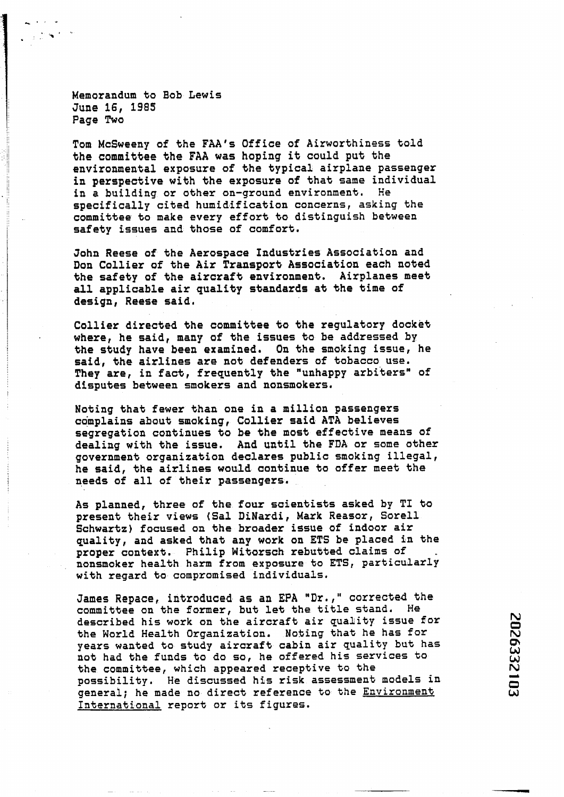**Memorandum to Bob Lewis June 16, 1985 Page Two** 

**Tom McSweeny of the FAA's Office of Airworthiness told the committee the FAA was hoping it could put the environmental exposure of the typical airplane passenger in perspective with the exposure of that same individual in a building or other on-ground environment. He specifically cited humidification concerns, asking the committee to make every effort to distinguish between safety issues and bhase of comfort.** 

**John Reese of the Aerospace Industries Association and Don Collier of the Air Transport Association each noted the safety of the aircraft environment. Airplanes meet all applicable air quality standards at the time of design, Reese said.** 

**Collier directed the committee to the regulatory docket where, he said, many of the issues to be addressed by the study have been examined, On the smoking issue, he said, the airlines are not defenders of tobacco use. They are, in fact, frequently the "unhappy arbiters" of disputes between smokers and nonsmokers.** 

**Noting that fewer than one in a million passengers complains about smoking, Collier said ATA believes segregation continues to be the most effective means of dealing with the issue. And until the FDA or some other government organization declares public smoking illegal, he said, the airlines would continue to offer meet the needs of all of their passengers.** 

**As planned, three of the four scientists asked by TI to present their views (Sal DiNardi, Mark Reasor, Sore11 Schwartz) focused on the broader issue of indoor air quality, and asked that any work on ETS be placed in the proper context. Philip Witorsch rebubted claims of nonsmoker health harm from exposure to ETS, particularly with regard to compromised individuals.** 

**James Repace, introduced as an EPA "Dr.," corrected the committee on the former, but let the title stand. Me described his work on the aircraft air quality issue for the World Health Organization. Nobing that he has for years wanted to study aircraft cabin air quality but has not had the funds to do so, he offered his services to the committee, which appeared receptive to the possibility. He discussed his risk assessment models in general; he made no direct reference to the Ehvironment International report or its figures.**